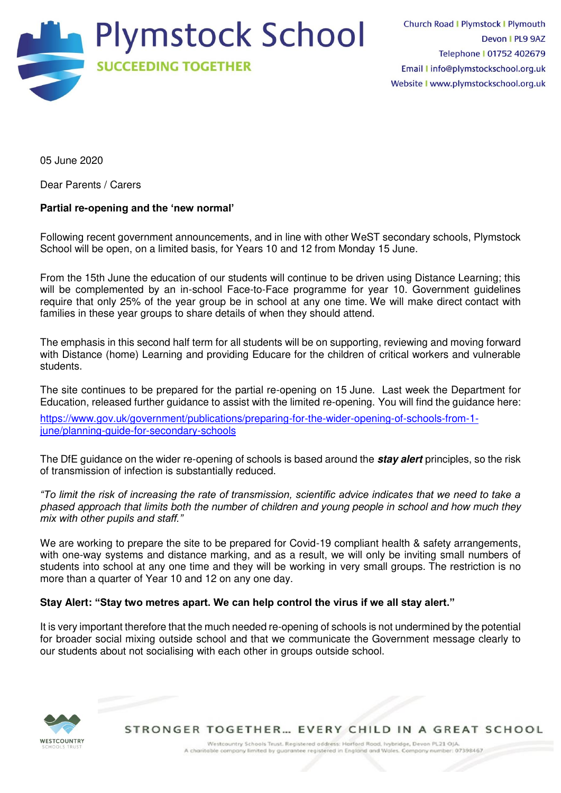

05 June 2020

Dear Parents / Carers

## **Partial re-opening and the 'new normal'**

Following recent government announcements, and in line with other WeST secondary schools, Plymstock School will be open, on a limited basis, for Years 10 and 12 from Monday 15 June.

From the 15th June the education of our students will continue to be driven using Distance Learning; this will be complemented by an in-school Face-to-Face programme for year 10. Government guidelines require that only 25% of the year group be in school at any one time. We will make direct contact with families in these year groups to share details of when they should attend.

The emphasis in this second half term for all students will be on supporting, reviewing and moving forward with Distance (home) Learning and providing Educare for the children of critical workers and vulnerable students.

The site continues to be prepared for the partial re-opening on 15 June. Last week the Department for Education, released further guidance to assist with the limited re-opening. You will find the guidance here:

[https://www.gov.uk/government/publications/preparing-for-the-wider-opening-of-schools-from-1](https://webmail.plymstockschool.org.uk/owa/redir.aspx?C=Z-SdeoVZ_yuJw3RTTMtJow9Xrwhz10l4hn8Y_GoFrRqDtP02WwnYCA..&URL=https%3a%2f%2fwww.gov.uk%2fgovernment%2fpublications%2fpreparing-for-the-wider-opening-of-schools-from-1-june%2fplanning-guide-for-secondary-schools) iune/planning-guide-for-secondary-schools

The DfE guidance on the wider re-opening of schools is based around the **stay alert** principles, so the risk of transmission of infection is substantially reduced.

*"To limit the risk of increasing the rate of transmission, scientific advice indicates that we need to take a*  phased approach that limits both the number of children and young people in school and how much they *mix with other pupils and staff."*

We are working to prepare the site to be prepared for Covid-19 compliant health & safety arrangements, with one-way systems and distance marking, and as a result, we will only be inviting small numbers of students into school at any one time and they will be working in very small groups. The restriction is no more than a quarter of Year 10 and 12 on any one day.

## **Stay Alert: "Stay two metres apart. We can help control the virus if we all stay alert."**

It is very important therefore that the much needed re-opening of schools is not undermined by the potential for broader social mixing outside school and that we communicate the Government message clearly to our students about not socialising with each other in groups outside school.



STRONGER TOGETHER... EVERY CHILD IN A GREAT SCHOOL

Westcountry Schools Trust. Registered address: Harford Road, Ivybridge, Devon PL21 OJA A charitable company limited by guarantee registered in England and Wales. Company number: 07398467